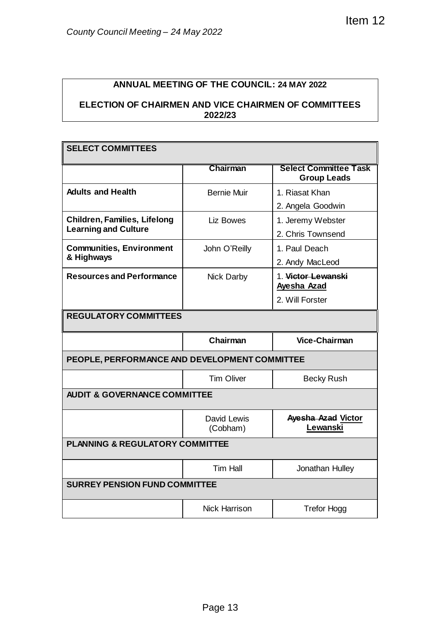## **ANNUAL MEETING OF THE COUNCIL: 24 MAY 2022**

## **ELECTION OF CHAIRMEN AND VICE CHAIRMEN OF COMMITTEES 2022/23**

| County Council Meeting - 24 May 2022                                   | Item 12                                            |  |  |  |
|------------------------------------------------------------------------|----------------------------------------------------|--|--|--|
|                                                                        |                                                    |  |  |  |
| <b>ELECTION OF CHAIRMEN AND VICE CHAIRMEN OF COMMITTEES</b><br>2022/23 |                                                    |  |  |  |
|                                                                        |                                                    |  |  |  |
|                                                                        |                                                    |  |  |  |
| Chairman                                                               | <b>Select Committee Task</b><br><b>Group Leads</b> |  |  |  |
| <b>Bernie Muir</b>                                                     | 1. Riasat Khan<br>2. Angela Goodwin                |  |  |  |
| Liz Bowes                                                              | 1. Jeremy Webster<br>2. Chris Townsend             |  |  |  |
| John O'Reilly                                                          | 1. Paul Deach<br>2. Andy MacLeod                   |  |  |  |
| Nick Darby                                                             | 1. Victor Lewanski<br>Ayesha Azad                  |  |  |  |
|                                                                        | 2. Will Forster                                    |  |  |  |
|                                                                        |                                                    |  |  |  |
| Chairman                                                               | <b>Vice-Chairman</b>                               |  |  |  |
| PEOPLE, PERFORMANCE AND DEVELOPMENT COMMITTEE                          |                                                    |  |  |  |
| <b>Tim Oliver</b>                                                      | <b>Becky Rush</b>                                  |  |  |  |
| <b>AUDIT &amp; GOVERNANCE COMMITTEE</b>                                |                                                    |  |  |  |
| David Lewis<br>(Cobham)                                                | Ayesha Azad Victor<br>Lewanski                     |  |  |  |
| <b>PLANNING &amp; REGULATORY COMMITTEE</b>                             |                                                    |  |  |  |
| <b>Tim Hall</b>                                                        | Jonathan Hulley                                    |  |  |  |
| <b>SURREY PENSION FUND COMMITTEE</b>                                   |                                                    |  |  |  |
|                                                                        |                                                    |  |  |  |
|                                                                        | <b>ANNUAL MEETING OF THE COUNCIL: 24 MAY 2022</b>  |  |  |  |